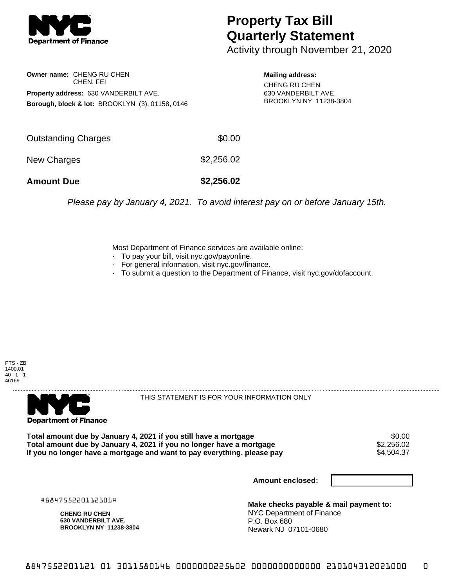

## **Property Tax Bill Quarterly Statement**

Activity through November 21, 2020

**Owner name:** CHENG RU CHEN CHEN, FEI **Property address:** 630 VANDERBILT AVE. **Borough, block & lot:** BROOKLYN (3), 01158, 0146

**Mailing address:** CHENG RU CHEN 630 VANDERBILT AVE. BROOKLYN NY 11238-3804

| <b>Amount Due</b>   | \$2,256.02 |
|---------------------|------------|
| New Charges         | \$2,256.02 |
| Outstanding Charges | \$0.00     |

Please pay by January 4, 2021. To avoid interest pay on or before January 15th.

Most Department of Finance services are available online:

- · To pay your bill, visit nyc.gov/payonline.
- For general information, visit nyc.gov/finance.
- · To submit a question to the Department of Finance, visit nyc.gov/dofaccount.





THIS STATEMENT IS FOR YOUR INFORMATION ONLY

Total amount due by January 4, 2021 if you still have a mortgage \$0.00<br>Total amount due by January 4, 2021 if you no longer have a mortgage \$2.256.02 **Total amount due by January 4, 2021 if you no longer have a mortgage**  $$2,256.02$ **<br>If you no longer have a mortgage and want to pay everything, please pay** If you no longer have a mortgage and want to pay everything, please pay

**Amount enclosed:**

#884755220112101#

**CHENG RU CHEN 630 VANDERBILT AVE. BROOKLYN NY 11238-3804**

**Make checks payable & mail payment to:** NYC Department of Finance P.O. Box 680 Newark NJ 07101-0680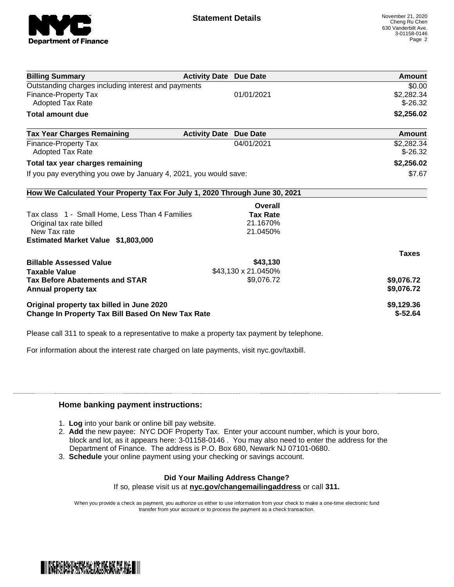

| <b>Billing Summary</b>                                                     | <b>Activity Date Due Date</b> |                     | <b>Amount</b> |
|----------------------------------------------------------------------------|-------------------------------|---------------------|---------------|
| Outstanding charges including interest and payments                        |                               |                     | \$0.00        |
| <b>Finance-Property Tax</b>                                                |                               | 01/01/2021          | \$2,282.34    |
| Adopted Tax Rate                                                           |                               |                     | $$-26.32$     |
| <b>Total amount due</b>                                                    |                               |                     | \$2,256.02    |
| <b>Tax Year Charges Remaining</b>                                          | <b>Activity Date</b>          | <b>Due Date</b>     | <b>Amount</b> |
| <b>Finance-Property Tax</b>                                                |                               | 04/01/2021          | \$2,282.34    |
| <b>Adopted Tax Rate</b>                                                    |                               |                     | $$-26.32$     |
| Total tax year charges remaining                                           |                               |                     | \$2,256.02    |
| If you pay everything you owe by January 4, 2021, you would save:          |                               |                     | \$7.67        |
| How We Calculated Your Property Tax For July 1, 2020 Through June 30, 2021 |                               |                     |               |
|                                                                            |                               | Overall             |               |
| Tax class 1 - Small Home, Less Than 4 Families                             |                               | <b>Tax Rate</b>     |               |
| Original tax rate billed                                                   |                               | 21.1670%            |               |
| New Tax rate                                                               |                               | 21.0450%            |               |
| Estimated Market Value \$1,803,000                                         |                               |                     |               |
|                                                                            |                               |                     | <b>Taxes</b>  |
| <b>Billable Assessed Value</b>                                             |                               | \$43,130            |               |
| <b>Taxable Value</b>                                                       |                               | \$43,130 x 21.0450% |               |
| <b>Tax Before Abatements and STAR</b>                                      |                               | \$9,076.72          | \$9,076.72    |
| Annual property tax                                                        |                               |                     | \$9,076.72    |
| Original property tax billed in June 2020                                  |                               |                     | \$9,129.36    |
| Change In Property Tax Bill Based On New Tax Rate                          |                               |                     | $$-52.64$     |

Please call 311 to speak to a representative to make a property tax payment by telephone.

For information about the interest rate charged on late payments, visit nyc.gov/taxbill.

## **Home banking payment instructions:**

- 1. **Log** into your bank or online bill pay website.
- 2. **Add** the new payee: NYC DOF Property Tax. Enter your account number, which is your boro, block and lot, as it appears here: 3-01158-0146 . You may also need to enter the address for the Department of Finance. The address is P.O. Box 680, Newark NJ 07101-0680.
- 3. **Schedule** your online payment using your checking or savings account.

## **Did Your Mailing Address Change?**

If so, please visit us at **nyc.gov/changemailingaddress** or call **311.**

When you provide a check as payment, you authorize us either to use information from your check to make a one-time electronic fund transfer from your account or to process the payment as a check transaction.